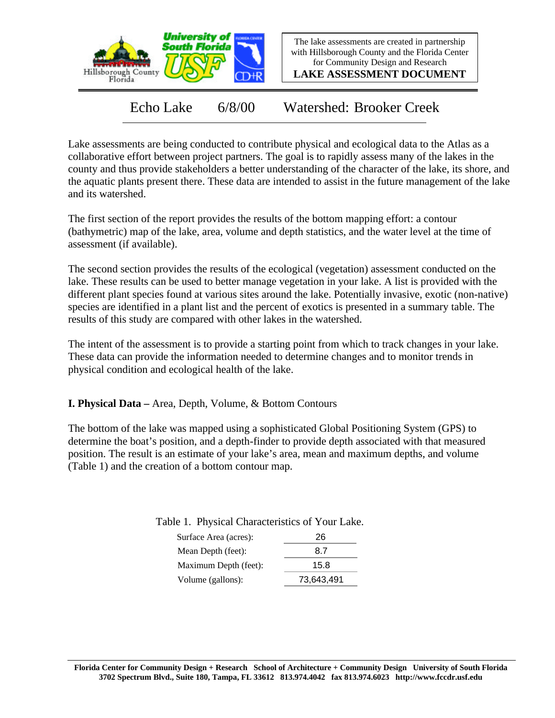

The lake assessments are created in partnership with Hillsborough County and the Florida Center for Community Design and Research

**LAKE ASSESSMENT DOCUMENT**

Echo Lake 6/8/00 Watershed: Brooker Creek

Lake assessments are being conducted to contribute physical and ecological data to the Atlas as a collaborative effort between project partners. The goal is to rapidly assess many of the lakes in the county and thus provide stakeholders a better understanding of the character of the lake, its shore, and the aquatic plants present there. These data are intended to assist in the future management of the lake and its watershed.

The first section of the report provides the results of the bottom mapping effort: a contour (bathymetric) map of the lake, area, volume and depth statistics, and the water level at the time of assessment (if available).

The second section provides the results of the ecological (vegetation) assessment conducted on the lake. These results can be used to better manage vegetation in your lake. A list is provided with the different plant species found at various sites around the lake. Potentially invasive, exotic (non-native) species are identified in a plant list and the percent of exotics is presented in a summary table. The results of this study are compared with other lakes in the watershed.

The intent of the assessment is to provide a starting point from which to track changes in your lake. These data can provide the information needed to determine changes and to monitor trends in physical condition and ecological health of the lake.

**I. Physical Data –** Area, Depth, Volume, & Bottom Contours

The bottom of the lake was mapped using a sophisticated Global Positioning System (GPS) to determine the boat's position, and a depth-finder to provide depth associated with that measured position. The result is an estimate of your lake's area, mean and maximum depths, and volume (Table 1) and the creation of a bottom contour map.

Table 1. Physical Characteristics of Your Lake.

| Surface Area (acres): | 26         |
|-----------------------|------------|
| Mean Depth (feet):    | 87         |
| Maximum Depth (feet): | 15.8       |
| Volume (gallons):     | 73,643,491 |
|                       |            |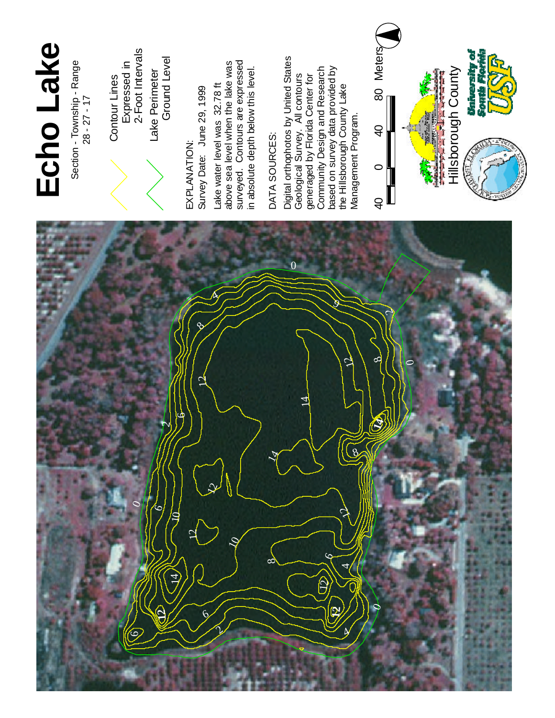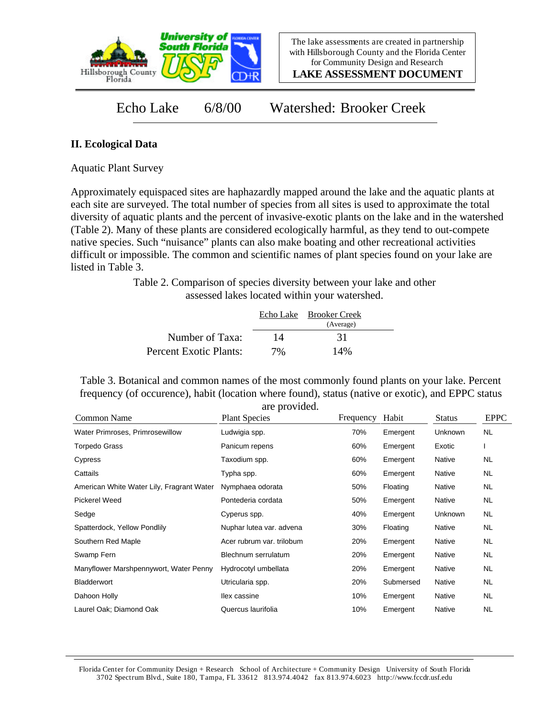

**LAKE ASSESSMENT DOCUMENT**

Echo Lake 6/8/00 Watershed: Brooker Creek

## **II. Ecological Data**

Aquatic Plant Survey

Approximately equispaced sites are haphazardly mapped around the lake and the aquatic plants at each site are surveyed. The total number of species from all sites is used to approximate the total diversity of aquatic plants and the percent of invasive-exotic plants on the lake and in the watershed (Table 2). Many of these plants are considered ecologically harmful, as they tend to out-compete native species. Such "nuisance" plants can also make boating and other recreational activities difficult or impossible. The common and scientific names of plant species found on your lake are listed in Table 3.

> Table 2. Comparison of species diversity between your lake and other assessed lakes located within your watershed.

|                        |    | Echo Lake Brooker Creek<br>(Average) |  |
|------------------------|----|--------------------------------------|--|
| Number of Taxa:        | 14 | 31                                   |  |
| Percent Exotic Plants: | 7% | 14%                                  |  |

Table 3. Botanical and common names of the most commonly found plants on your lake. Percent frequency (of occurence), habit (location where found), status (native or exotic), and EPPC status are provided.

| Common Name                               | are provided.<br><b>Plant Species</b> | Frequency | Habit     | <b>Status</b>  | <b>EPPC</b> |
|-------------------------------------------|---------------------------------------|-----------|-----------|----------------|-------------|
|                                           |                                       |           |           |                |             |
| Water Primroses, Primrosewillow           | Ludwigia spp.                         | 70%       | Emergent  | Unknown        | NL.         |
| <b>Torpedo Grass</b>                      | Panicum repens                        | 60%       | Emergent  | Exotic         |             |
| Cypress                                   | Taxodium spp.                         | 60%       | Emergent  | Native         | NL.         |
| Cattails                                  | Typha spp.                            | 60%       | Emergent  | Native         | <b>NL</b>   |
| American White Water Lily, Fragrant Water | Nymphaea odorata                      | 50%       | Floating  | Native         | NL.         |
| Pickerel Weed                             | Pontederia cordata                    | 50%       | Emergent  | Native         | NL          |
| Sedge                                     | Cyperus spp.                          | 40%       | Emergent  | <b>Unknown</b> | <b>NL</b>   |
| Spatterdock, Yellow Pondlily              | Nuphar lutea var. advena              | 30%       | Floating  | Native         | NL.         |
| Southern Red Maple                        | Acer rubrum var. trilobum             | 20%       | Emergent  | Native         | NL          |
| Swamp Fern                                | Blechnum serrulatum                   | 20%       | Emergent  | Native         | <b>NL</b>   |
| Manyflower Marshpennywort, Water Penny    | Hydrocotyl umbellata                  | 20%       | Emergent  | Native         | NL.         |
| <b>Bladderwort</b>                        | Utricularia spp.                      | 20%       | Submersed | Native         | NL.         |
| Dahoon Holly                              | llex cassine                          | 10%       | Emergent  | Native         | NL.         |
| Laurel Oak; Diamond Oak                   | Quercus laurifolia                    | 10%       | Emergent  | Native         | <b>NL</b>   |